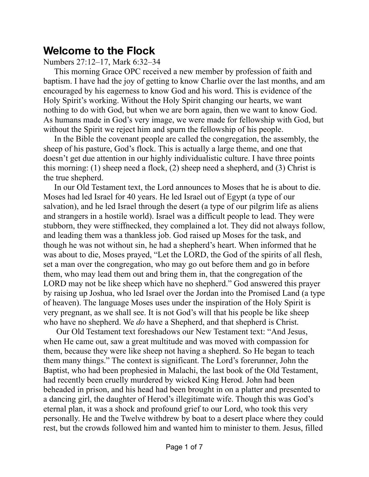## **Welcome to the Flock**

Numbers 27:12–17, Mark 6:32–34

This morning Grace OPC received a new member by profession of faith and baptism. I have had the joy of getting to know Charlie over the last months, and am encouraged by his eagerness to know God and his word. This is evidence of the Holy Spirit's working. Without the Holy Spirit changing our hearts, we want nothing to do with God, but when we are born again, then we want to know God. As humans made in God's very image, we were made for fellowship with God, but without the Spirit we reject him and spurn the fellowship of his people.

In the Bible the covenant people are called the congregation, the assembly, the sheep of his pasture, God's flock. This is actually a large theme, and one that doesn't get due attention in our highly individualistic culture. I have three points this morning: (1) sheep need a flock, (2) sheep need a shepherd, and (3) Christ is the true shepherd.

In our Old Testament text, the Lord announces to Moses that he is about to die. Moses had led Israel for 40 years. He led Israel out of Egypt (a type of our salvation), and he led Israel through the desert (a type of our pilgrim life as aliens and strangers in a hostile world). Israel was a difficult people to lead. They were stubborn, they were stiffnecked, they complained a lot. They did not always follow, and leading them was a thankless job. God raised up Moses for the task, and though he was not without sin, he had a shepherd's heart. When informed that he was about to die, Moses prayed, "Let the LORD, the God of the spirits of all flesh, set a man over the congregation, who may go out before them and go in before them, who may lead them out and bring them in, that the congregation of the LORD may not be like sheep which have no shepherd." God answered this prayer by raising up Joshua, who led Israel over the Jordan into the Promised Land (a type of heaven). The language Moses uses under the inspiration of the Holy Spirit is very pregnant, as we shall see. It is not God's will that his people be like sheep who have no shepherd. We *do* have a Shepherd, and that shepherd is Christ.

 Our Old Testament text foreshadows our New Testament text: "And Jesus, when He came out, saw a great multitude and was moved with compassion for them, because they were like sheep not having a shepherd. So He began to teach them many things." The context is significant. The Lord's forerunner, John the Baptist, who had been prophesied in Malachi, the last book of the Old Testament, had recently been cruelly murdered by wicked King Herod. John had been beheaded in prison, and his head had been brought in on a platter and presented to a dancing girl, the daughter of Herod's illegitimate wife. Though this was God's eternal plan, it was a shock and profound grief to our Lord, who took this very personally. He and the Twelve withdrew by boat to a desert place where they could rest, but the crowds followed him and wanted him to minister to them. Jesus, filled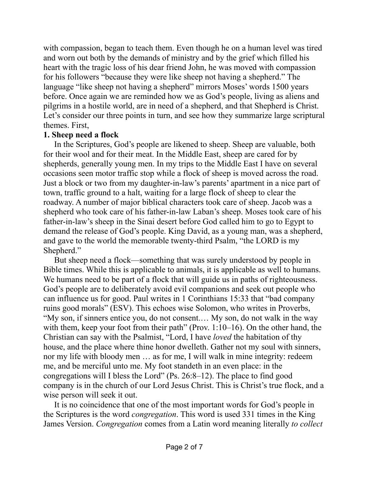with compassion, began to teach them. Even though he on a human level was tired and worn out both by the demands of ministry and by the grief which filled his heart with the tragic loss of his dear friend John, he was moved with compassion for his followers "because they were like sheep not having a shepherd." The language "like sheep not having a shepherd" mirrors Moses' words 1500 years before. Once again we are reminded how we as God's people, living as aliens and pilgrims in a hostile world, are in need of a shepherd, and that Shepherd is Christ. Let's consider our three points in turn, and see how they summarize large scriptural themes. First,

## **1. Sheep need a flock**

In the Scriptures, God's people are likened to sheep. Sheep are valuable, both for their wool and for their meat. In the Middle East, sheep are cared for by shepherds, generally young men. In my trips to the Middle East I have on several occasions seen motor traffic stop while a flock of sheep is moved across the road. Just a block or two from my daughter-in-law's parents' apartment in a nice part of town, traffic ground to a halt, waiting for a large flock of sheep to clear the roadway. A number of major biblical characters took care of sheep. Jacob was a shepherd who took care of his father-in-law Laban's sheep. Moses took care of his father-in-law's sheep in the Sinai desert before God called him to go to Egypt to demand the release of God's people. King David, as a young man, was a shepherd, and gave to the world the memorable twenty-third Psalm, "the LORD is my Shepherd."

But sheep need a flock—something that was surely understood by people in Bible times. While this is applicable to animals, it is applicable as well to humans. We humans need to be part of a flock that will guide us in paths of righteousness. God's people are to deliberately avoid evil companions and seek out people who can influence us for good. Paul writes in 1 Corinthians 15:33 that "bad company ruins good morals" (ESV). This echoes wise Solomon, who writes in Proverbs, "My son, if sinners entice you, do not consent.… My son, do not walk in the way with them, keep your foot from their path" (Prov. 1:10–16). On the other hand, the Christian can say with the Psalmist, "Lord, I have *loved* the habitation of thy house, and the place where thine honor dwelleth. Gather not my soul with sinners, nor my life with bloody men … as for me, I will walk in mine integrity: redeem me, and be merciful unto me. My foot standeth in an even place: in the congregations will I bless the Lord" (Ps. 26:8–12). The place to find good company is in the church of our Lord Jesus Christ. This is Christ's true flock, and a wise person will seek it out.

It is no coincidence that one of the most important words for God's people in the Scriptures is the word *congregation*. This word is used 331 times in the King James Version. *Congregation* comes from a Latin word meaning literally *to collect*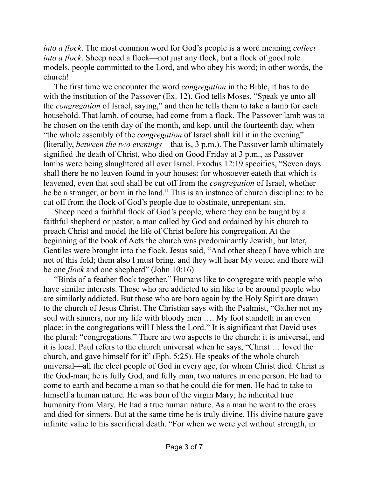*into a flock*. The most common word for God's people is a word meaning *collect into a flock*. Sheep need a flock—not just any flock, but a flock of good role models, people committed to the Lord, and who obey his word; in other words, the church!

The first time we encounter the word *congregation* in the Bible, it has to do with the institution of the Passover (Ex. 12). God tells Moses, "Speak ye unto all the *congregation* of Israel, saying," and then he tells them to take a lamb for each household. That lamb, of course, had come from a flock. The Passover lamb was to be chosen on the tenth day of the month, and kept until the fourteenth day, when "the whole assembly of the *congregation* of Israel shall kill it in the evening" (literally, *between the two evenings*—that is, 3 p.m.). The Passover lamb ultimately signified the death of Christ, who died on Good Friday at 3 p.m., as Passover lambs were being slaughtered all over Israel. Exodus 12:19 specifies, "Seven days shall there be no leaven found in your houses: for whosoever eateth that which is leavened, even that soul shall be cut off from the *congregation* of Israel, whether he be a stranger, or born in the land." This is an instance of church discipline: to be cut off from the flock of God's people due to obstinate, unrepentant sin.

Sheep need a faithful flock of God's people, where they can be taught by a faithful shepherd or pastor, a man called by God and ordained by his church to preach Christ and model the life of Christ before his congregation. At the beginning of the book of Acts the church was predominantly Jewish, but later, Gentiles were brought into the flock. Jesus said, "And other sheep I have which are not of this fold; them also I must bring, and they will hear My voice; and there will be one *flock* and one shepherd" (John 10:16).

"Birds of a feather flock together." Humans like to congregate with people who have similar interests. Those who are addicted to sin like to be around people who are similarly addicted. But those who are born again by the Holy Spirit are drawn to the church of Jesus Christ. The Christian says with the Psalmist, "Gather not my soul with sinners, nor my life with bloody men …. My foot standeth in an even place: in the congregations will I bless the Lord." It is significant that David uses the plural: "congregations." There are two aspects to the church: it is universal, and it is local. Paul refers to the church universal when he says, "Christ … loved the church, and gave himself for it" (Eph. 5:25). He speaks of the whole church universal—all the elect people of God in every age, for whom Christ died. Christ is the God-man; he is fully God, and fully man, two natures in one person. He had to come to earth and become a man so that he could die for men. He had to take to himself a human nature. He was born of the virgin Mary; he inherited true humanity from Mary. He had a true human nature. As a man he went to the cross and died for sinners. But at the same time he is truly divine. His divine nature gave infinite value to his sacrificial death. "For when we were yet without strength, in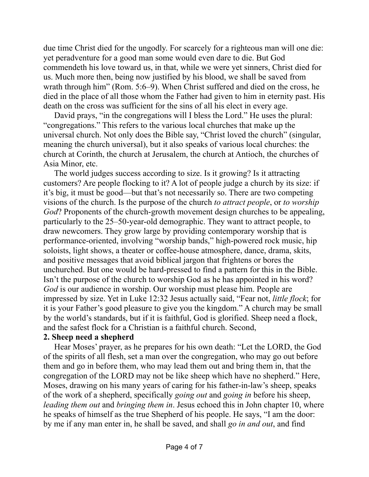due time Christ died for the ungodly. For scarcely for a righteous man will one die: yet peradventure for a good man some would even dare to die. But God commendeth his love toward us, in that, while we were yet sinners, Christ died for us. Much more then, being now justified by his blood, we shall be saved from wrath through him" (Rom. 5:6–9). When Christ suffered and died on the cross, he died in the place of all those whom the Father had given to him in eternity past. His death on the cross was sufficient for the sins of all his elect in every age.

David prays, "in the congregations will I bless the Lord." He uses the plural: "congregations." This refers to the various local churches that make up the universal church. Not only does the Bible say, "Christ loved the church" (singular, meaning the church universal), but it also speaks of various local churches: the church at Corinth, the church at Jerusalem, the church at Antioch, the churches of Asia Minor, etc.

The world judges success according to size. Is it growing? Is it attracting customers? Are people flocking to it? A lot of people judge a church by its size: if it's big, it must be good—but that's not necessarily so. There are two competing visions of the church. Is the purpose of the church *to attract people*, or *to worship God*? Proponents of the church-growth movement design churches to be appealing, particularly to the 25–50-year-old demographic. They want to attract people, to draw newcomers. They grow large by providing contemporary worship that is performance-oriented, involving "worship bands," high-powered rock music, hip soloists, light shows, a theater or coffee-house atmosphere, dance, drama, skits, and positive messages that avoid biblical jargon that frightens or bores the unchurched. But one would be hard-pressed to find a pattern for this in the Bible. Isn't the purpose of the church to worship God as he has appointed in his word? *God* is our audience in worship. Our worship must please him. People are impressed by size. Yet in Luke 12:32 Jesus actually said, "Fear not, *little flock*; for it is your Father's good pleasure to give you the kingdom." A church may be small by the world's standards, but if it is faithful, God is glorified. Sheep need a flock, and the safest flock for a Christian is a faithful church. Second,

## **2. Sheep need a shepherd**

Hear Moses' prayer, as he prepares for his own death: "Let the LORD, the God of the spirits of all flesh, set a man over the congregation, who may go out before them and go in before them, who may lead them out and bring them in, that the congregation of the LORD may not be like sheep which have no shepherd." Here, Moses, drawing on his many years of caring for his father-in-law's sheep, speaks of the work of a shepherd, specifically *going out* and *going in* before his sheep, *leading them out* and *bringing them in*. Jesus echoed this in John chapter 10, where he speaks of himself as the true Shepherd of his people. He says, "I am the door: by me if any man enter in, he shall be saved, and shall *go in and out*, and find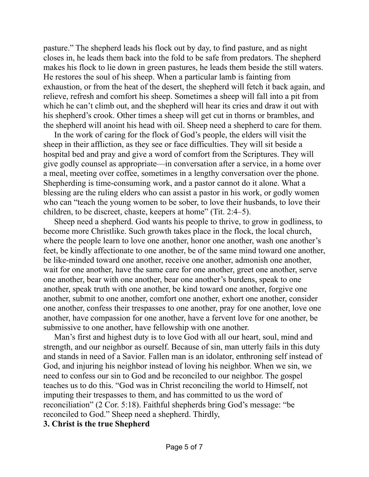pasture." The shepherd leads his flock out by day, to find pasture, and as night closes in, he leads them back into the fold to be safe from predators. The shepherd makes his flock to lie down in green pastures, he leads them beside the still waters. He restores the soul of his sheep. When a particular lamb is fainting from exhaustion, or from the heat of the desert, the shepherd will fetch it back again, and relieve, refresh and comfort his sheep. Sometimes a sheep will fall into a pit from which he can't climb out, and the shepherd will hear its cries and draw it out with his shepherd's crook. Other times a sheep will get cut in thorns or brambles, and the shepherd will anoint his head with oil. Sheep need a shepherd to care for them.

In the work of caring for the flock of God's people, the elders will visit the sheep in their affliction, as they see or face difficulties. They will sit beside a hospital bed and pray and give a word of comfort from the Scriptures. They will give godly counsel as appropriate—in conversation after a service, in a home over a meal, meeting over coffee, sometimes in a lengthy conversation over the phone. Shepherding is time-consuming work, and a pastor cannot do it alone. What a blessing are the ruling elders who can assist a pastor in his work, or godly women who can "teach the young women to be sober, to love their husbands, to love their children, to be discreet, chaste, keepers at home" (Tit. 2:4–5).

Sheep need a shepherd. God wants his people to thrive, to grow in godliness, to become more Christlike. Such growth takes place in the flock, the local church, where the people learn to love one another, honor one another, wash one another's feet, be kindly affectionate to one another, be of the same mind toward one another, be like-minded toward one another, receive one another, admonish one another, wait for one another, have the same care for one another, greet one another, serve one another, bear with one another, bear one another's burdens, speak to one another, speak truth with one another, be kind toward one another, forgive one another, submit to one another, comfort one another, exhort one another, consider one another, confess their trespasses to one another, pray for one another, love one another, have compassion for one another, have a fervent love for one another, be submissive to one another, have fellowship with one another.

Man's first and highest duty is to love God with all our heart, soul, mind and strength, and our neighbor as ourself. Because of sin, man utterly fails in this duty and stands in need of a Savior. Fallen man is an idolator, enthroning self instead of God, and injuring his neighbor instead of loving his neighbor. When we sin, we need to confess our sin to God and be reconciled to our neighbor. The gospel teaches us to do this. "God was in Christ reconciling the world to Himself, not imputing their trespasses to them, and has committed to us the word of reconciliation" (2 Cor. 5:18). Faithful shepherds bring God's message: "be reconciled to God." Sheep need a shepherd. Thirdly,

## **3. Christ is the true Shepherd**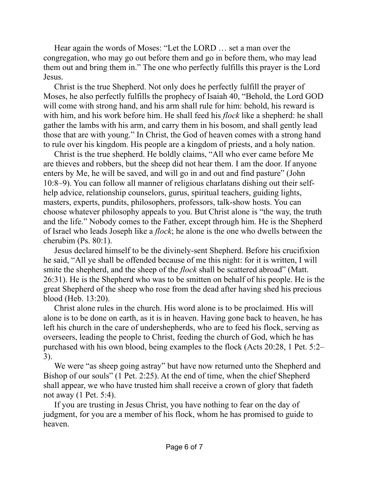Hear again the words of Moses: "Let the LORD … set a man over the congregation, who may go out before them and go in before them, who may lead them out and bring them in." The one who perfectly fulfills this prayer is the Lord Jesus.

Christ is the true Shepherd. Not only does he perfectly fulfill the prayer of Moses, he also perfectly fulfills the prophecy of Isaiah 40, "Behold, the Lord GOD will come with strong hand, and his arm shall rule for him: behold, his reward is with him, and his work before him. He shall feed his *flock* like a shepherd: he shall gather the lambs with his arm, and carry them in his bosom, and shall gently lead those that are with young." In Christ, the God of heaven comes with a strong hand to rule over his kingdom. His people are a kingdom of priests, and a holy nation.

Christ is the true shepherd. He boldly claims, "All who ever came before Me are thieves and robbers, but the sheep did not hear them. I am the door. If anyone enters by Me, he will be saved, and will go in and out and find pasture" (John 10:8–9). You can follow all manner of religious charlatans dishing out their selfhelp advice, relationship counselors, gurus, spiritual teachers, guiding lights, masters, experts, pundits, philosophers, professors, talk-show hosts. You can choose whatever philosophy appeals to you. But Christ alone is "the way, the truth and the life." Nobody comes to the Father, except through him. He is the Shepherd of Israel who leads Joseph like a *flock*; he alone is the one who dwells between the cherubim (Ps. 80:1).

Jesus declared himself to be the divinely-sent Shepherd. Before his crucifixion he said, "All ye shall be offended because of me this night: for it is written, I will smite the shepherd, and the sheep of the *flock* shall be scattered abroad" (Matt. 26:31). He is the Shepherd who was to be smitten on behalf of his people. He is the great Shepherd of the sheep who rose from the dead after having shed his precious blood (Heb. 13:20).

Christ alone rules in the church. His word alone is to be proclaimed. His will alone is to be done on earth, as it is in heaven. Having gone back to heaven, he has left his church in the care of undershepherds, who are to feed his flock, serving as overseers, leading the people to Christ, feeding the church of God, which he has purchased with his own blood, being examples to the flock (Acts 20:28, 1 Pet. 5:2– 3).

We were "as sheep going astray" but have now returned unto the Shepherd and Bishop of our souls" (1 Pet. 2:25). At the end of time, when the chief Shepherd shall appear, we who have trusted him shall receive a crown of glory that fadeth not away (1 Pet. 5:4).

If you are trusting in Jesus Christ, you have nothing to fear on the day of judgment, for you are a member of his flock, whom he has promised to guide to heaven.